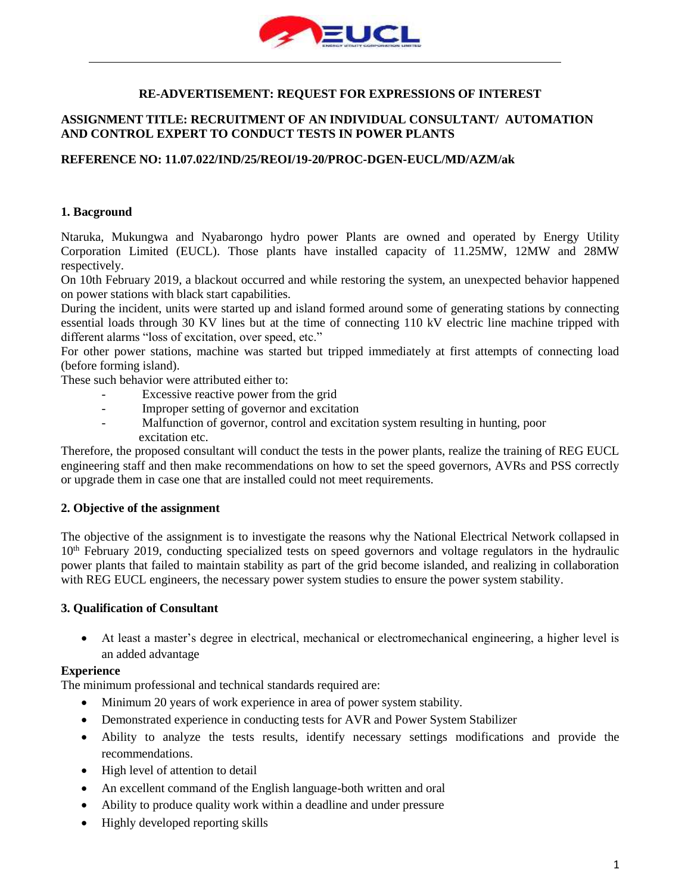

# **RE-ADVERTISEMENT: REQUEST FOR EXPRESSIONS OF INTEREST**

# **ASSIGNMENT TITLE: RECRUITMENT OF AN INDIVIDUAL CONSULTANT/ AUTOMATION AND CONTROL EXPERT TO CONDUCT TESTS IN POWER PLANTS**

### **REFERENCE NO: 11.07.022/IND/25/REOI/19-20/PROC-DGEN-EUCL/MD/AZM/ak**

### **1. Bacground**

Ntaruka, Mukungwa and Nyabarongo hydro power Plants are owned and operated by Energy Utility Corporation Limited (EUCL). Those plants have installed capacity of 11.25MW, 12MW and 28MW respectively.

On 10th February 2019, a blackout occurred and while restoring the system, an unexpected behavior happened on power stations with black start capabilities.

During the incident, units were started up and island formed around some of generating stations by connecting essential loads through 30 KV lines but at the time of connecting 110 kV electric line machine tripped with different alarms "loss of excitation, over speed, etc."

For other power stations, machine was started but tripped immediately at first attempts of connecting load (before forming island).

These such behavior were attributed either to:

- Excessive reactive power from the grid
- Improper setting of governor and excitation
- Malfunction of governor, control and excitation system resulting in hunting, poor excitation etc.

Therefore, the proposed consultant will conduct the tests in the power plants, realize the training of REG EUCL engineering staff and then make recommendations on how to set the speed governors, AVRs and PSS correctly or upgrade them in case one that are installed could not meet requirements.

### **2. Objective of the assignment**

The objective of the assignment is to investigate the reasons why the National Electrical Network collapsed in  $10<sup>th</sup>$  February 2019, conducting specialized tests on speed governors and voltage regulators in the hydraulic power plants that failed to maintain stability as part of the grid become islanded, and realizing in collaboration with REG EUCL engineers, the necessary power system studies to ensure the power system stability.

#### **3. Qualification of Consultant**

• At least a master's degree in electrical, mechanical or electromechanical engineering, a higher level is an added advantage

#### **Experience**

The minimum professional and technical standards required are:

- Minimum 20 years of work experience in area of power system stability.
- Demonstrated experience in conducting tests for AVR and Power System Stabilizer
- Ability to analyze the tests results, identify necessary settings modifications and provide the recommendations.
- High level of attention to detail
- An excellent command of the English language-both written and oral
- Ability to produce quality work within a deadline and under pressure
- Highly developed reporting skills